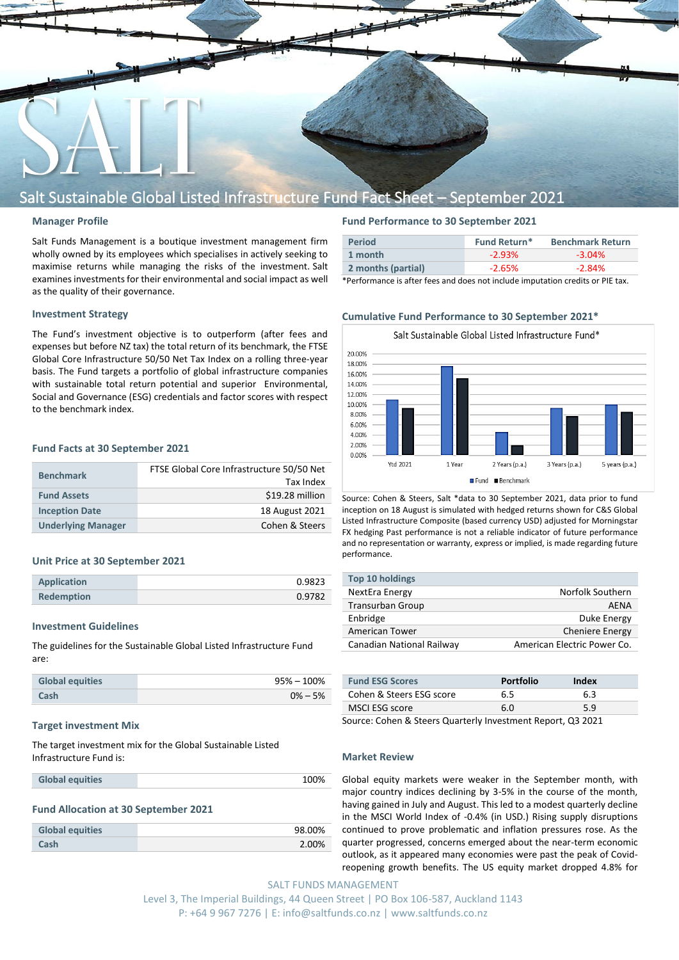

# Salt Sustainable Global Listed Infrastructure Fund Fact Sheet – September 2021

#### **Manager Profile**

Salt Funds Management is a boutique investment management firm wholly owned by its employees which specialises in actively seeking to maximise returns while managing the risks of the investment. Salt examines investments for their environmental and social impact as well as the quality of their governance.

### **Investment Strategy**

The Fund's investment objective is to outperform (after fees and expenses but before NZ tax) the total return of its benchmark, the FTSE Global Core Infrastructure 50/50 Net Tax Index on a rolling three-year basis. The Fund targets a portfolio of global infrastructure companies with sustainable total return potential and superior Environmental, Social and Governance (ESG) credentials and factor scores with respect to the benchmark index.

#### **Fund Facts at 30 September 2021**

| <b>Benchmark</b>          | FTSE Global Core Infrastructure 50/50 Net<br>Tax Index |
|---------------------------|--------------------------------------------------------|
| <b>Fund Assets</b>        | \$19.28 million                                        |
| <b>Inception Date</b>     | 18 August 2021                                         |
| <b>Underlying Manager</b> | Cohen & Steers                                         |

#### **Unit Price at 30 September 2021**

| <b>Application</b> | 0.9823 |
|--------------------|--------|
| <b>Redemption</b>  | 0.9782 |

#### **Investment Guidelines**

The guidelines for the Sustainable Global Listed Infrastructure Fund are:

| <b>Global equities</b> | $95\% - 100\%$ |
|------------------------|----------------|
| Cash                   | $0\% - 5\%$    |

#### **Target investment Mix**

The target investment mix for the Global Sustainable Listed Infrastructure Fund is:

| 100%<br><b>Global equities</b> |
|--------------------------------|
|--------------------------------|

#### **Fund Allocation at 30 September 2021**

| <b>Global equities</b> | 98.00% |
|------------------------|--------|
| Cash                   | 2.00%  |

### **Fund Performance to 30 September 2021**

| <b>Period</b>      | Fund Return* | <b>Benchmark Return</b> |
|--------------------|--------------|-------------------------|
| 1 month            | $-2.93\%$    | $-3.04\%$               |
| 2 months (partial) | $-2.65\%$    | $-2.84\%$               |

\*Performance is after fees and does not include imputation credits or PIE tax.

#### **Cumulative Fund Performance to 30 September 2021\***



Source: Cohen & Steers, Salt \*data to 30 September 2021, data prior to fund inception on 18 August is simulated with hedged returns shown for C&S Global Listed Infrastructure Composite (based currency USD) adjusted for Morningstar FX hedging Past performance is not a reliable indicator of future performance and no representation or warranty, express or implied, is made regarding future performance.

| <b>Top 10 holdings</b>    |                             |
|---------------------------|-----------------------------|
| NextEra Energy            | Norfolk Southern            |
| Transurban Group          | AFNA                        |
| Enbridge                  | Duke Energy                 |
| American Tower            | <b>Cheniere Energy</b>      |
| Canadian National Railway | American Electric Power Co. |
|                           |                             |

| <b>Fund ESG Scores</b>                                     | <b>Portfolio</b> | Index |
|------------------------------------------------------------|------------------|-------|
| Cohen & Steers ESG score                                   | 6.5              | 6.3   |
| MSCI ESG score                                             | 6.0              | 59    |
| Course Cahon & Ctoors Quarterly Investment Benert, 02,3021 |                  |       |

Source: Cohen & Steers Quarterly Investment Report, Q3 2021

#### **Market Review**

Global equity markets were weaker in the September month, with major country indices declining by 3-5% in the course of the month, having gained in July and August. This led to a modest quarterly decline in the MSCI World Index of -0.4% (in USD.) Rising supply disruptions continued to prove problematic and inflation pressures rose. As the quarter progressed, concerns emerged about the near-term economic outlook, as it appeared many economies were past the peak of Covidreopening growth benefits. The US equity market dropped 4.8% for

SALT FUNDS MANAGEMENT Level 3, The Imperial Buildings, 44 Queen Street | PO Box 106-587, Auckland 1143 P: +64 9 967 7276 | E: info@saltfunds.co.nz | www.saltfunds.co.nz